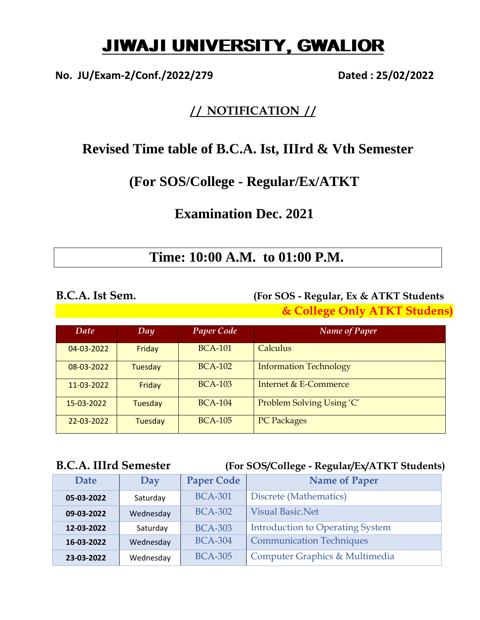# JIWAJI UNIVERSITY, GWALIOR

**No. JU/Exam-2/Conf./2022/279 Dated : 25/02/2022**

### **/ / NOTIFICATION / /**

## **Revised Time table of B.C.A. Ist, IIIrd & Vth Semester**

### **(For SOS/College - Regular/Ex/ATKT**

## **Examination Dec. 2021**

## **Time: 10:00 A.M. to 01:00 P.M.**

### **B.C.A. Ist Sem. (For SOS - Regular, Ex & ATKT Students & College Only ATKT Studens)**

| Date       | Day            | <b>Paper Code</b> | <b>Name of Paper</b>          |
|------------|----------------|-------------------|-------------------------------|
| 04-03-2022 | Friday         | <b>BCA-101</b>    | Calculus                      |
| 08-03-2022 | <b>Tuesday</b> | <b>BCA-102</b>    | <b>Information Technology</b> |
| 11-03-2022 | Friday         | <b>BCA-103</b>    | Internet & E-Commerce         |
| 15-03-2022 | Tuesday        | <b>BCA-104</b>    | Problem Solving Using 'C'     |
| 22-03-2022 | Tuesday        | <b>BCA-105</b>    | <b>PC Packages</b>            |

### **B.C.A. IIIrd Semester (For SOS/College - Regular/Ex/ATKT Students)**

| Date       | Day       | <b>Paper Code</b> | <b>Name of Paper</b>                    |
|------------|-----------|-------------------|-----------------------------------------|
| 05-03-2022 | Saturday  | <b>BCA-301</b>    | Discrete (Mathematics)                  |
| 09-03-2022 | Wednesday | <b>BCA-302</b>    | <b>Visual Basic.Net</b>                 |
| 12-03-2022 | Saturday  | <b>BCA-303</b>    | <b>Introduction to Operating System</b> |
| 16-03-2022 | Wednesday | <b>BCA-304</b>    | <b>Communication Techniques</b>         |
| 23-03-2022 | Wednesday | <b>BCA-305</b>    | Computer Graphics & Multimedia          |